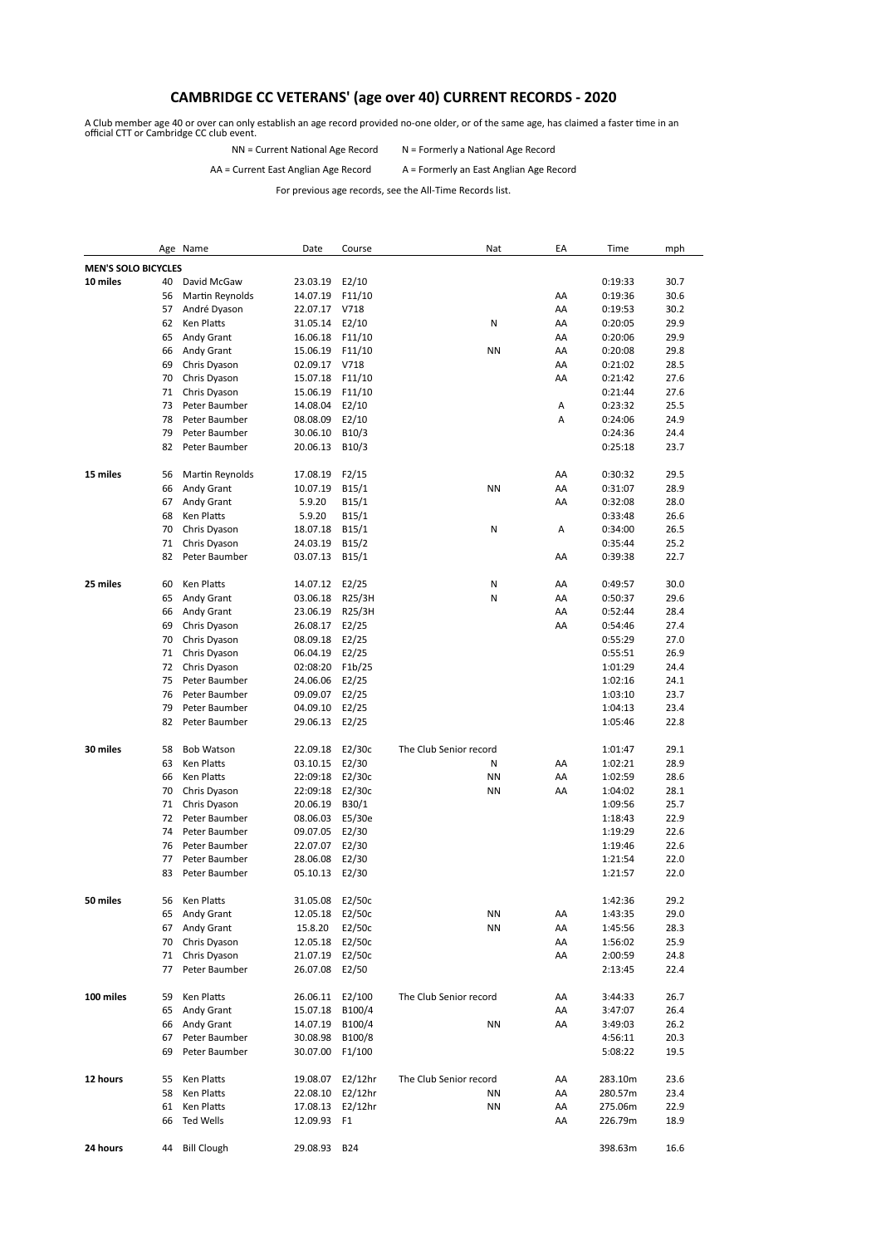## **CAMBRIDGE CC VETERANS' (age over 40) CURRENT RECORDS - 2020**

A Club member age 40 or over can only establish an age record provided no-one older, or of the same age, has claimed a faster time in an official CTT or Cambridge CC club event.

NN = Current National Age Record N = Formerly a National Age Record

## AA = Current East Anglian Age Record A = Formerly an East Anglian Age Record

For previous age records, see the All-Time Records list.

|                            |    | Age Name           | Date            | Course             | Nat                    | EA | Time               | mph          |
|----------------------------|----|--------------------|-----------------|--------------------|------------------------|----|--------------------|--------------|
| <b>MEN'S SOLO BICYCLES</b> |    |                    |                 |                    |                        |    |                    |              |
| 10 miles                   | 40 | David McGaw        | 23.03.19        | E2/10              |                        |    | 0:19:33            | 30.7         |
|                            | 56 | Martin Reynolds    | 14.07.19        | F11/10             |                        | AA | 0:19:36            | 30.6         |
|                            | 57 | André Dyason       | 22.07.17        | V718               |                        | AA | 0:19:53            | 30.2         |
|                            | 62 | Ken Platts         | 31.05.14        | E2/10              | N                      | AA | 0:20:05            | 29.9         |
|                            | 65 | Andy Grant         | 16.06.18        | F11/10             |                        | AA | 0:20:06            | 29.9         |
|                            | 66 | Andy Grant         | 15.06.19        | F11/10             | <b>NN</b>              | AA | 0:20:08            | 29.8         |
|                            | 69 | Chris Dyason       | 02.09.17        | V718               |                        | AA | 0:21:02            | 28.5         |
|                            | 70 | Chris Dyason       | 15.07.18        | F11/10             |                        | AA | 0:21:42            | 27.6         |
|                            | 71 | Chris Dyason       | 15.06.19        | F11/10             |                        |    | 0:21:44            | 27.6         |
|                            | 73 | Peter Baumber      | 14.08.04        | E2/10              |                        | Α  | 0:23:32            | 25.5         |
|                            | 78 | Peter Baumber      | 08.08.09        | E2/10              |                        | Α  | 0:24:06            | 24.9         |
|                            | 79 | Peter Baumber      | 30.06.10        | B10/3              |                        |    | 0:24:36            | 24.4         |
|                            | 82 | Peter Baumber      | 20.06.13        | B10/3              |                        |    | 0:25:18            | 23.7         |
|                            |    |                    |                 |                    |                        |    |                    |              |
| 15 miles                   | 56 | Martin Reynolds    | 17.08.19        | F2/15              |                        | AA | 0:30:32            | 29.5         |
|                            | 66 | Andy Grant         | 10.07.19        | B <sub>15</sub> /1 | <b>NN</b>              | AA | 0:31:07            | 28.9         |
|                            | 67 | Andy Grant         | 5.9.20          | B <sub>15</sub> /1 |                        | AA | 0:32:08            | 28.0         |
|                            | 68 | Ken Platts         | 5.9.20          | B <sub>15</sub> /1 |                        |    | 0:33:48            | 26.6         |
|                            | 70 | Chris Dyason       | 18.07.18        | B <sub>15</sub> /1 | Ν                      | А  | 0:34:00            | 26.5         |
|                            | 71 | Chris Dyason       | 24.03.19        | B15/2              |                        |    | 0:35:44            | 25.2         |
|                            | 82 | Peter Baumber      | 03.07.13        | B <sub>15</sub> /1 |                        | AA | 0:39:38            | 22.7         |
|                            |    |                    |                 |                    |                        |    |                    |              |
| 25 miles                   | 60 | Ken Platts         | 14.07.12        | E2/25              | N                      | AA | 0:49:57            | 30.0         |
|                            | 65 | Andy Grant         | 03.06.18        | R25/3H             | N                      | AA | 0:50:37            | 29.6         |
|                            | 66 | Andy Grant         | 23.06.19        | R25/3H             |                        | AA | 0:52:44            | 28.4         |
|                            | 69 | Chris Dyason       | 26.08.17        | E2/25              |                        | AA | 0:54:46            | 27.4         |
|                            | 70 | Chris Dyason       | 08.09.18        | E2/25              |                        |    | 0:55:29            | 27.0         |
|                            | 71 | Chris Dyason       | 06.04.19        | E2/25              |                        |    | 0:55:51            | 26.9         |
|                            | 72 | Chris Dyason       | 02:08:20        | F1b/25             |                        |    | 1:01:29            | 24.4         |
|                            | 75 | Peter Baumber      | 24.06.06        | E2/25              |                        |    | 1:02:16            | 24.1         |
|                            | 76 | Peter Baumber      | 09.09.07        | E2/25              |                        |    | 1:03:10            | 23.7         |
|                            | 79 | Peter Baumber      | 04.09.10        | E2/25              |                        |    | 1:04:13            | 23.4         |
|                            | 82 | Peter Baumber      | 29.06.13        | E2/25              |                        |    | 1:05:46            | 22.8         |
|                            |    |                    |                 |                    |                        |    |                    |              |
| 30 miles                   | 58 | <b>Bob Watson</b>  | 22.09.18        | E2/30c             | The Club Senior record |    | 1:01:47            | 29.1         |
|                            | 63 | Ken Platts         | 03.10.15        | E2/30              | Ν                      | AA | 1:02:21            | 28.9         |
|                            | 66 | Ken Platts         | 22:09:18        | E2/30c             | <b>NN</b>              | AA | 1:02:59            | 28.6         |
|                            | 70 | Chris Dyason       | 22:09:18        | E2/30c             | <b>NN</b>              | AA | 1:04:02            | 28.1         |
|                            | 71 | Chris Dyason       | 20.06.19        | B30/1              |                        |    | 1:09:56            | 25.7         |
|                            | 72 | Peter Baumber      | 08.06.03        | E5/30e             |                        |    | 1:18:43            | 22.9         |
|                            | 74 | Peter Baumber      | 09.07.05        | E2/30              |                        |    | 1:19:29            | 22.6         |
|                            | 76 | Peter Baumber      | 22.07.07        | E2/30              |                        |    | 1:19:46            | 22.6         |
|                            | 77 | Peter Baumber      | 28.06.08        | E2/30              |                        |    | 1:21:54            | 22.0         |
|                            | 83 | Peter Baumber      | 05.10.13        | E2/30              |                        |    | 1:21:57            | 22.0         |
|                            |    |                    |                 |                    |                        |    |                    |              |
| 50 miles                   | 56 | Ken Platts         | 31.05.08        | E2/50c             |                        |    | 1:42:36            | 29.2         |
|                            | 65 | Andy Grant         | 12.05.18        | E2/50c             | ΝN                     | AA | 1:43:35            | 29.0         |
|                            | 67 | Andy Grant         | 15.8.20         | E2/50c             | ΝN                     | AA | 1:45:56            | 28.3         |
|                            | 70 | Chris Dyason       | 12.05.18        | E2/50c             |                        | AA | 1:56:02            | 25.9         |
|                            | 71 | Chris Dyason       | 21.07.19        | E2/50c             |                        | AA | 2:00:59            | 24.8         |
|                            | 77 | Peter Baumber      | 26.07.08 E2/50  |                    |                        |    |                    | 22.4         |
|                            |    |                    |                 |                    |                        |    | 2:13:45            |              |
| 100 miles                  | 59 | Ken Platts         | 26.06.11 E2/100 |                    | The Club Senior record | AA | 3:44:33            | 26.7         |
|                            | 65 | Andy Grant         | 15.07.18        | B100/4             |                        | AA | 3:47:07            | 26.4         |
|                            | 66 | Andy Grant         | 14.07.19        | B100/4             | ΝN                     | AA |                    |              |
|                            | 67 | Peter Baumber      | 30.08.98        | B100/8             |                        |    | 3:49:03            | 26.2<br>20.3 |
|                            | 69 | Peter Baumber      | 30.07.00 F1/100 |                    |                        |    | 4:56:11<br>5:08:22 |              |
|                            |    |                    |                 |                    |                        |    |                    | 19.5         |
| 12 hours                   |    |                    |                 |                    | The Club Senior record |    |                    | 23.6         |
|                            | 55 | Ken Platts         |                 | 19.08.07 E2/12hr   |                        | AA | 283.10m            |              |
|                            | 58 | Ken Platts         | 22.08.10        | E2/12hr            | ΝN                     | AA | 280.57m            | 23.4         |
|                            | 61 | Ken Platts         | 17.08.13        | $E2/12$ hr         | ΝN                     | AA | 275.06m            | 22.9         |
|                            | 66 | Ted Wells          | 12.09.93 F1     |                    |                        | AA | 226.79m            | 18.9         |
| 24 hours                   |    |                    |                 |                    |                        |    |                    |              |
|                            | 44 | <b>Bill Clough</b> | 29.08.93        | <b>B24</b>         |                        |    | 398.63m            | 16.6         |